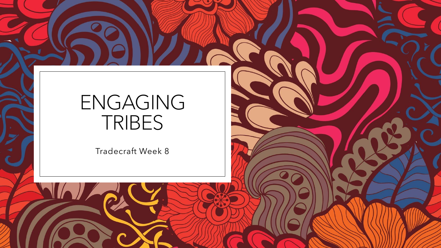## ENGAGING TRIBES

Tradecraft Week 8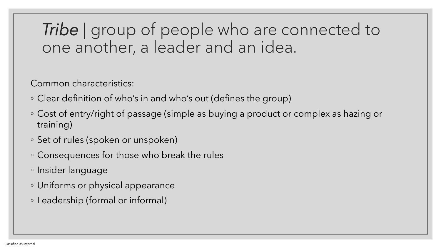#### **Tribe** | group of people who are connected to one another, a leader and an idea.

Common characteristics:

- Clear definition of who's in and who's out (defines the group)
- Cost of entry/right of passage (simple as buying a product or complex as hazing or training)
- Set of rules (spoken or unspoken)
- Consequences for those who break the rules
- Insider language
- Uniforms or physical appearance
- Leadership (formal or informal)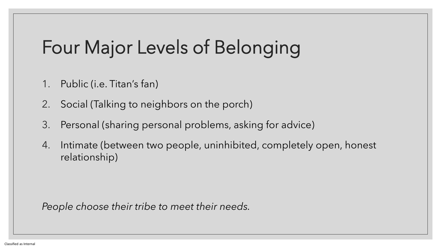# Four Major Levels of Belonging

- 1. Public (i.e. Titan's fan)
- 2. Social (Talking to neighbors on the porch)
- 3. Personal (sharing personal problems, asking for advice)
- 4. Intimate (between two people, uninhibited, completely open, honest relationship)

*People choose their tribe to meet their needs.*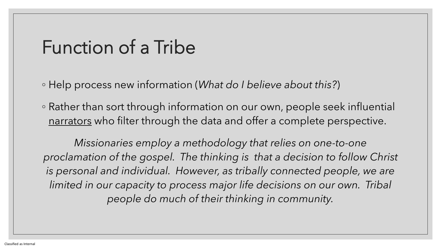## Function of a Tribe

◦ Help process new information (*What do I believe about this?*)

◦ Rather than sort through information on our own, people seek influential narrators who filter through the data and offer a complete perspective.

*Missionaries employ a methodology that relies on one-to-one proclamation of the gospel. The thinking is that a decision to follow Christ*  is personal and individual. However, as tribally connected people, we are *limited in our capacity to process major life decisions on our own. Tribal people do much of their thinking in community.*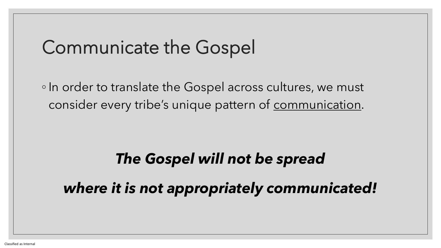## Communicate the Gospel

◦ In order to translate the Gospel across cultures, we must consider every tribe's unique pattern of communication.

# *The Gospel will not be spread*

*where it is not appropriately communicated!*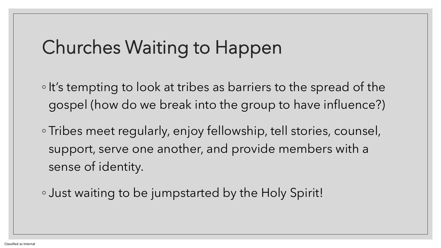## Churches Waiting to Happen

- It's tempting to look at tribes as barriers to the spread of the gospel (how do we break into the group to have influence?)
- Tribes meet regularly, enjoy fellowship, tell stories, counsel, support, serve one another, and provide members with a sense of identity.
- Just waiting to be jumpstarted by the Holy Spirit!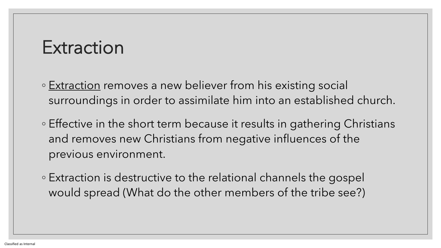#### Extraction

- Extraction removes a new believer from his existing social surroundings in order to assimilate him into an established church.
- Effective in the short term because it results in gathering Christians and removes new Christians from negative influences of the previous environment.
- Extraction is destructive to the relational channels the gospel would spread (What do the other members of the tribe see?)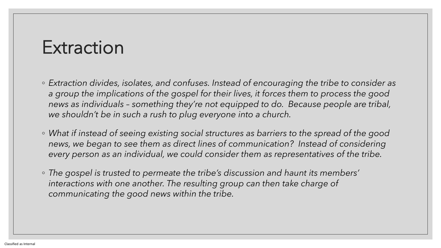#### Extraction

- *Extraction divides, isolates, and confuses. Instead of encouraging the tribe to consider as a group the implications of the gospel for their lives, it forces them to process the good news as individuals – something they're not equipped to do. Because people are tribal, we shouldn't be in such a rush to plug everyone into a church.*
- *What if instead of seeing existing social structures as barriers to the spread of the good news, we began to see them as direct lines of communication? Instead of considering every person as an individual, we could consider them as representatives of the tribe.*
- *The gospel is trusted to permeate the tribe's discussion and haunt its members'*  interactions with one another. The resulting group can then take charge of *communicating the good news within the tribe.*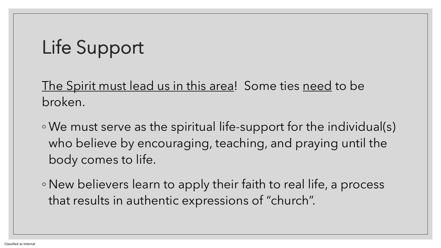# Life Support

The Spirit must lead us in this area! Some ties need to be broken.

- We must serve as the spiritual life-support for the individual(s) who believe by encouraging, teaching, and praying until the body comes to life.
- New believers learn to apply their faith to real life, a process that results in authentic expressions of "church".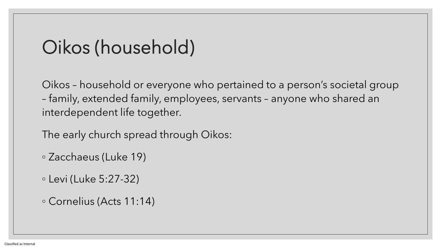## Oikos (household)

Oikos – household or everyone who pertained to a person's societal group – family, extended family, employees, servants – anyone who shared an interdependent life together.

The early church spread through Oikos:

◦ Zacchaeus (Luke 19)

◦ Levi (Luke 5:27-32)

◦ Cornelius (Acts 11:14)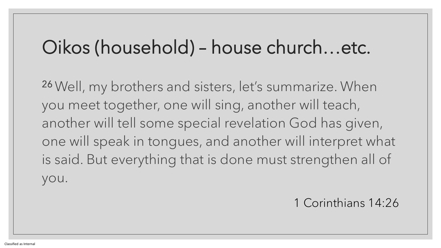### Oikos (household) – house church…etc.

<sup>26</sup>Well, my brothers and sisters, let's summarize. When you meet together, one will sing, another will teach, another will tell some special revelation God has given, one will speak in tongues, and another will interpret what is said. But everything that is done must strengthen all of you.

1 Corinthians 14:26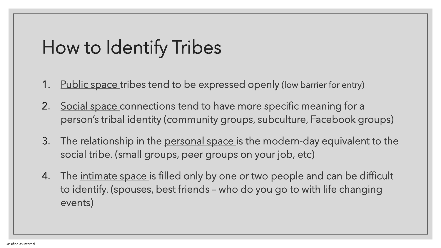# How to Identify Tribes

- 1. Public space tribes tend to be expressed openly (low barrier for entry)
- 2. Social space connections tend to have more specific meaning for a person's tribal identity (community groups, subculture, Facebook groups)
- 3. The relationship in the personal space is the modern-day equivalent to the social tribe. (small groups, peer groups on your job, etc)
- 4. The intimate space is filled only by one or two people and can be difficult to identify. (spouses, best friends – who do you go to with life changing events)